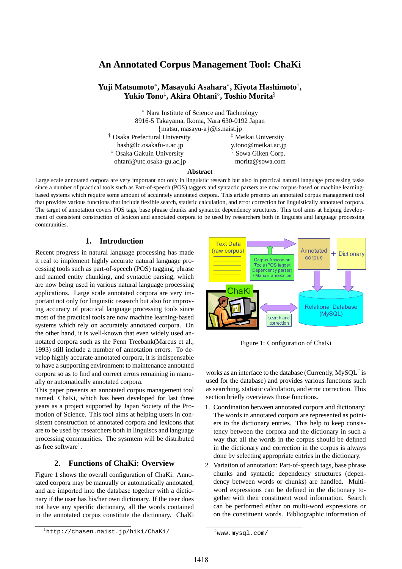# **An Annotated Corpus Management Tool: ChaKi**

# **Yuji Matsumoto**<sup>∗</sup> **, Masayuki Asahara**<sup>∗</sup> **, Kiyota Hashimoto**† **, Yukio Tono**‡ **, Akira Ohtani**¦ **, Toshio Morita**§

<sup>∗</sup> Nara Institute of Science and Tachnology 8916-5 Takayama, Ikoma, Nara 630-0192 Japan {matsu, masayu-a}@is.naist.jp <sup>†</sup> Osaka Prefectural University **and <sup>‡</sup>** Meikai University hash@lc.osakafu-u.ac.jp y.tono@meikai.ac.jp  $\degree$  Osaka Gakuin University  $\degree$  Sowa Giken Corp. ohtani@utc.osaka-gu.ac.jp morita@sowa.com

#### **Abstract**

Large scale annotated corpora are very important not only in linguistic research but also in practical natural language processing tasks since a number of practical tools such as Part-of-speech (POS) taggers and syntactic parsers are now corpus-based or machine learningbased systems which require some amount of accurately annotated corpora. This article presents an annotated corpus management tool that provides various functions that include flexible search, statistic calculation, and error correction for linguistically annotated corpora. The target of annotation covers POS tags, base phrase chunks and syntactic dependency structures. This tool aims at helping development of consistent construction of lexicon and annotated corpora to be used by researchers both in linguists and language processing communities.

# **1. Introduction**

Recent progress in natural language processing has made it real to implement highly accurate natural language processing tools such as part-of-speech (POS) tagging, phrase and named entity chunking, and syntactic parsing, which are now being used in various natural language processing applications. Large scale annotated corpora are very important not only for linguistic research but also for improving accuracy of practical language processing tools since most of the practical tools are now machine learning-based systems which rely on accurately annotated corpora. On the other hand, it is well-known that even widely used annotated corpora such as the Penn Treebank(Marcus et al., 1993) still include a number of annotation errors. To develop highly accurate annotated corpora, it is indispensable to have a supporting environment to maintenance annotated corpora so as to find and correct errors remaining in manually or automatically annotated corpora.

This paper presents an annotated corpus management tool named, ChaKi, which has been developed for last three years as a project supported by Japan Society of the Promotion of Science. This tool aims at helping users in consistent construction of annotated corpora and lexicons that are to be used by researchers both in linguiscs and language processing communities. The sysmtem will be distributed as free software<sup>1</sup>.

# **2. Functions of ChaKi: Overview**

Figure 1 shows the overall configuration of ChaKi. Annotated corpora may be manually or automatically annotated, and are imported into the database together with a dictionary if the user has his/her own dictionary. If the user does not have any specific dictionary, all the words contained in the annotated corpus constitute the dictionary. ChaKi



Figure 1: Configuration of ChaKi

works as an interface to the database (Currently,  $MySQL^2$  is used for the database) and provides various functions such as searching, statistic calculation, and error correction. This section briefly overviews those functions.

- 1. Coordination between annotated corpora and dictionary: The words in annotated corpora are represented as pointers to the dictionary entries. This help to keep consistency between the corpora and the dictionary in such a way that all the words in the corpus should be defined in the dictionary and correction in the corpus is always done by selecting appropriate entries in the dictionary.
- 2. Variation of annotation: Part-of-speech tags, base phrase chunks and syntactic dependency structures (dependency between words or chunks) are handled. Multiword expressions can be defined in the dictionary together with their constituent word information. Search can be performed either on multi-word expressions or on the constituent words. Bibliographic information of

<sup>1</sup>http://chasen.naist.jp/hiki/ChaKi/

 $^{2}$ www.mysql.com/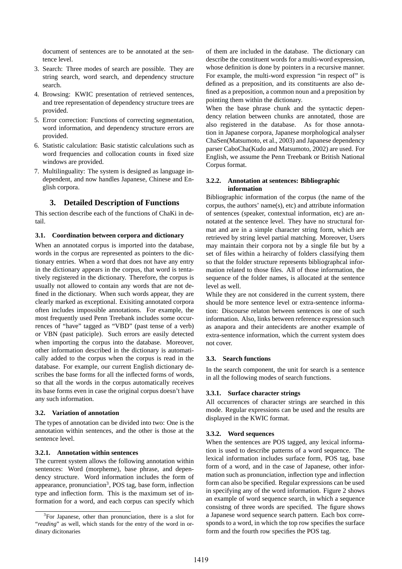document of sentences are to be annotated at the sentence level.

- 3. Search: Three modes of search are possible. They are string search, word search, and dependency structure search.
- 4. Browsing: KWIC presentation of retrieved sentences, and tree representation of dependency structure trees are provided.
- 5. Error correction: Functions of correcting segmentation, word information, and dependency structure errors are provided.
- 6. Statistic calculation: Basic statistic calculations such as word frequencies and collocation counts in fixed size windows are provided.
- 7. Multilinguality: The system is designed as language independent, and now handles Japanese, Chinese and English corpora.

# **3. Detailed Description of Functions**

This section describe each of the functions of ChaKi in detail.

### **3.1. Coordination between corpora and dictionary**

When an annotated corpus is imported into the database, words in the corpus are represented as pointers to the dictionary entries. When a word that does not have any entry in the dictionary appears in the corpus, that word is tentatively registered in the dictionary. Therefore, the corpus is usually not allowed to contain any words that are not defined in the dictionary. When such words appear, they are clearly marked as exceptional. Exisiting annotated corpora often includes impossible annotations. For example, the most frequently used Penn Treebank includes some occurrences of "have" tagged as "VBD" (past tense of a verb) or VBN (past paticiple). Such errors are easily detected when importing the corpus into the database. Moreover, other information described in the dictionary is automatically added to the corpus when the corpus is read in the database. For example, our current English dictionary describes the base forms for all the inflected forms of words, so that all the words in the corpus automatically receives its base forms even in case the original corpus doesn't have any such information.

#### **3.2. Variation of annotation**

The types of annotation can be divided into two: One is the annotation within sentences, and the other is those at the sentence level.

#### **3.2.1. Annotation within sentences**

The current system allows the following annotation within sentences: Word (morpheme), base phrase, and dependency structure. Word information includes the form of appearance, pronunciation<sup>3</sup>, POS tag, base form, inflection type and inflection form. This is the maximum set of information for a word, and each corpus can specify which

of them are included in the database. The dictionary can describe the constituent words for a multi-word expression, whose definition is done by pointers in a recursive manner. For example, the multi-word expression "in respect of" is defined as a preposition, and its constituents are also defined as a preposition, a common noun and a preposition by pointing them within the dictionary.

When the base phrase chunk and the syntactic dependency relation between chunks are annotated, those are also registered in the database. As for those annotation in Japanese corpora, Japanese morphological analyser ChaSen(Matsumoto, et al., 2003) and Japanese dependency parser CaboCha(Kudo and Matsumoto, 2002) are used. For English, we assume the Penn Treebank or British National Corpus format.

### **3.2.2. Annotation at sentences: Bibliographic information**

Bibliographic information of the corpus (the name of the corpus, the authors' name(s), etc) and attribute information of sentences (speaker, contextual information, etc) are annotated at the sentence level. They have no structural format and are in a simple character string form, which are retrieved by string level partial matching. Moreover, Users may maintain their corpora not by a single file but by a set of files within a heirarchy of folders classifying them so that the folder structure represents bibliographcal information related to those files. All of those information, the sequence of the folder names, is allocated at the sentence level as well.

While they are not considered in the current system, there should be more sentence level or extra-sentence information: Discourse relaton between sentences is one of such information. Also, links between reference expression such as anapora and their antecidents are another example of extra-sentence information, which the current system does not cover.

### **3.3. Search functions**

In the search component, the unit for search is a sentence in all the following modes of search functions.

#### **3.3.1. Surface character strings**

All occurrences of character strings are searched in this mode. Regular expressions can be used and the results are displayed in the KWIC format.

#### **3.3.2. Word sequences**

When the sentences are POS tagged, any lexical information is used to describe patterns of a word sequence. The lexical information includes surface form, POS tag, base form of a word, and in the case of Japanese, other information such as pronunciation, inflection type and inflection form can also be specified. Regular expressions can be used in specifying any of the word information. Figure 2 shows an example of word sequence search, in which a sequence consistng of three words are specified. The figure shows a Japanese word sequence search pattern. Each box corresponds to a word, in which the top row specifies the surface form and the fourth row specifies the POS tag.

<sup>&</sup>lt;sup>3</sup>For Japanese, other than pronunciation, there is a slot for "*reading*" as well, which stands for the entry of the word in ordinary dicitonaries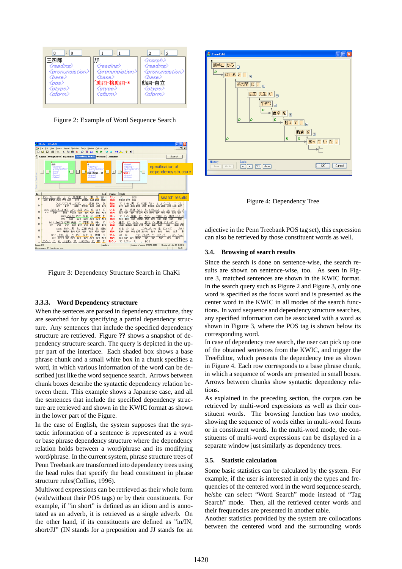

Figure 2: Example of Word Sequence Search



Figure 3: Dependency Structure Search in ChaKi

### **3.3.3. Word Dependency structure**

When the senteces are parsed in dependency structure, they are searched for by specifying a partial dependency structure. Any sentences that include the specified dependency structure are retrieved. Figure **??** shows a snapshot of dependency structure search. The query is depicted in the upper part of the interface. Each shaded box shows a base phrase chunk and a small white box in a chunk specifies a word, in which various information of the word can be described just like the word sequence search. Arrows between chunk boxes describe the syntactic dependency relation between them. This example shows a Japanese case, and all the sentences that include the specified dependency structure are retrieved and shown in the KWIC format as shown in the lower part of the Figure.

In the case of English, the system supposes that the syntactic information of a sentence is represented as a word or base phrase dependency structure where the dependency relation holds between a word/phrase and its modifying word/phrase. In the current system, phrase structure trees of Penn Treebank are transformed into dependency trees using the head rules that specify the head constituent in phrase structure rules(Collins, 1996).

Multiword expressions can be retrieved as their whole form (with/without their POS tags) or by their constituents. For example, if "in short" is defined as an idiom and is annotated as an adverb, it is retrieved as a single adverb. On the other hand, if its constituents are defined as "in/IN, short/JJ" (IN stands for a preposition and JJ stands for an



Figure 4: Dependency Tree

adjective in the Penn Treebank POS tag set), this expression can also be retrieved by those constituent words as well.

### **3.4. Browsing of search results**

Since the search is done on sentence-wise, the search results are shown on sentence-wise, too. As seen in Figure 3, matched sentences are shown in the KWIC format. In the search query such as Figure 2 and Figure 3, only one word is specified as the focus word and is presented as the center word in the KWIC in all modes of the search functions. In word sequence and dependency structure searches, any specified information can be associated with a word as shown in Figure 3, where the POS tag is shown below its corresponding word.

In case of dependency tree search, the user can pick up one of the obtained sentences from the KWIC, and trigger the TreeEditor, which presents the dependency tree as shown in Figure 4. Each row corresponds to a base phrase chunk, in which a sequence of words are presented in small boxes. Arrows between chunks show syntactic dependency relations.

As explained in the preceding section, the corpus can be retrieved by multi-word expressions as well as their constituent words. The browsing function has two modes, showing the sequence of words either in multi-word forms or in constituent words. In the multi-word mode, the constituents of multi-word expressions can be displayed in a separate window just similarly as dependency trees.

### **3.5. Statistic calculation**

Some basic statistics can be calculated by the system. For example, if the user is interested in only the types and frequencies of the centered word in the word sequence search, he/she can select "Word Search" mode instead of "Tag Search" mode. Then, all the retrieved center words and their frequencies are presented in another table.

Another statistics provided by the system are collocations between the centered word and the surrounding words